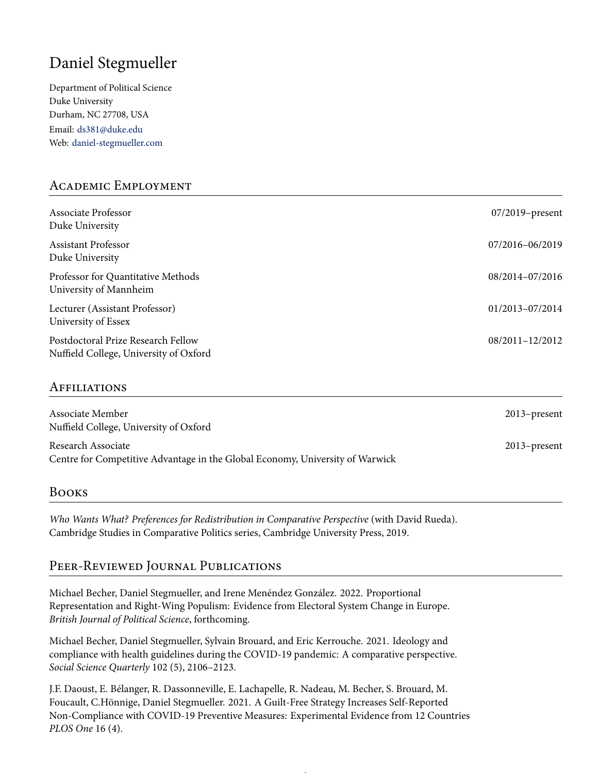# Daniel Stegmueller

Department of Political Science Duke University Durham, NC 27708, USA Email: <ds381@duke.edu> Web: [daniel-stegmueller.com](http://www.daniel-stegmueller.com)

# Academic Employment

| Associate Professor<br>Duke University                                       | $07/2019$ -present |
|------------------------------------------------------------------------------|--------------------|
| Assistant Professor<br>Duke University                                       | 07/2016-06/2019    |
| Professor for Quantitative Methods<br>University of Mannheim                 | 08/2014-07/2016    |
| Lecturer (Assistant Professor)<br>University of Essex                        | 01/2013-07/2014    |
| Postdoctoral Prize Research Fellow<br>Nuffield College, University of Oxford | 08/2011-12/2012    |

#### Affiliations

| Associate Member<br>Nuffield College, University of Oxford                                          | $2013$ -present |
|-----------------------------------------------------------------------------------------------------|-----------------|
| Research Associate<br>Centre for Competitive Advantage in the Global Economy, University of Warwick | $2013$ -present |

## Books

*Who Wants What? Preferences for Redistribution in Comparative Perspective* (with David Rueda). Cambridge Studies in Comparative Politics series, Cambridge University Press, 2019.

# Peer-Reviewed Journal Publications

Michael Becher, Daniel Stegmueller, and Irene Menéndez González. 2022. Proportional Representation and Right-Wing Populism: Evidence from Electoral System Change in Europe. *British Journal of Political Science*, forthcoming.

Michael Becher, Daniel Stegmueller, Sylvain Brouard, and Eric Kerrouche. 2021. Ideology and compliance with health guidelines during the COVID-19 pandemic: A comparative perspective. *Social Science Quarterly* 102 (5), 2106–2123.

J.F. Daoust, E. Bélanger, R. Dassonneville, E. Lachapelle, R. Nadeau, M. Becher, S. Brouard, M. Foucault, C.Hönnige, Daniel Stegmueller. 2021. A Guilt-Free Strategy Increases Self-Reported Non-Compliance with COVID-19 Preventive Measures: Experimental Evidence from 12 Countries *PLOS One* 16 (4).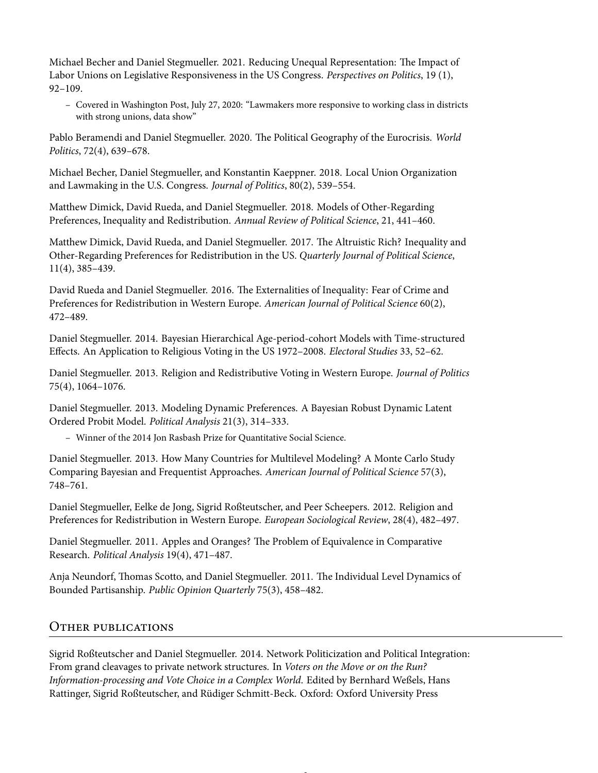Michael Becher and Daniel Stegmueller. 2021. Reducing Unequal Representation: The Impact of Labor Unions on Legislative Responsiveness in the US Congress. *Perspectives on Politics*, 19 (1), 92–109.

– Covered in Washington Post, July 27, 2020: "Lawmakers more responsive to working class in districts with strong unions, data show"

Pablo Beramendi and Daniel Stegmueller. 2020. The Political Geography of the Eurocrisis. *World Politics*, 72(4), 639–678.

Michael Becher, Daniel Stegmueller, and Konstantin Kaeppner. 2018. Local Union Organization and Lawmaking in the U.S. Congress. *Journal of Politics*, 80(2), 539–554.

Matthew Dimick, David Rueda, and Daniel Stegmueller. 2018. Models of Other-Regarding Preferences, Inequality and Redistribution. *Annual Review of Political Science*, 21, 441–460.

Matthew Dimick, David Rueda, and Daniel Stegmueller. 2017. The Altruistic Rich? Inequality and Other-Regarding Preferences for Redistribution in the US. *Quarterly Journal of Political Science*, 11(4), 385–439.

David Rueda and Daniel Stegmueller. 2016. The Externalities of Inequality: Fear of Crime and Preferences for Redistribution in Western Europe. *American Journal of Political Science* 60(2), 472–489.

Daniel Stegmueller. 2014. Bayesian Hierarchical Age-period-cohort Models with Time-structured Effects. An Application to Religious Voting in the US 1972–2008. *Electoral Studies* 33, 52–62.

Daniel Stegmueller. 2013. Religion and Redistributive Voting in Western Europe. *Journal of Politics* 75(4), 1064–1076.

Daniel Stegmueller. 2013. Modeling Dynamic Preferences. A Bayesian Robust Dynamic Latent Ordered Probit Model. *Political Analysis* 21(3), 314–333.

– Winner of the 2014 Jon Rasbash Prize for Quantitative Social Science.

Daniel Stegmueller. 2013. How Many Countries for Multilevel Modeling? A Monte Carlo Study Comparing Bayesian and Frequentist Approaches. *American Journal of Political Science* 57(3), 748–761.

Daniel Stegmueller, Eelke de Jong, Sigrid Roßteutscher, and Peer Scheepers. 2012. Religion and Preferences for Redistribution in Western Europe. *European Sociological Review*, 28(4), 482–497.

Daniel Stegmueller. 2011. Apples and Oranges? The Problem of Equivalence in Comparative Research. *Political Analysis* 19(4), 471–487.

Anja Neundorf, Thomas Scotto, and Daniel Stegmueller. 2011. The Individual Level Dynamics of Bounded Partisanship. *Public Opinion Quarterly* 75(3), 458–482.

#### Other publications

Sigrid Roßteutscher and Daniel Stegmueller. 2014. Network Politicization and Political Integration: From grand cleavages to private network structures. In *Voters on the Move or on the Run? Information-processing and Vote Choice in a Complex World*. Edited by Bernhard Weßels, Hans Rattinger, Sigrid Roßteutscher, and Rüdiger Schmitt-Beck. Oxford: Oxford University Press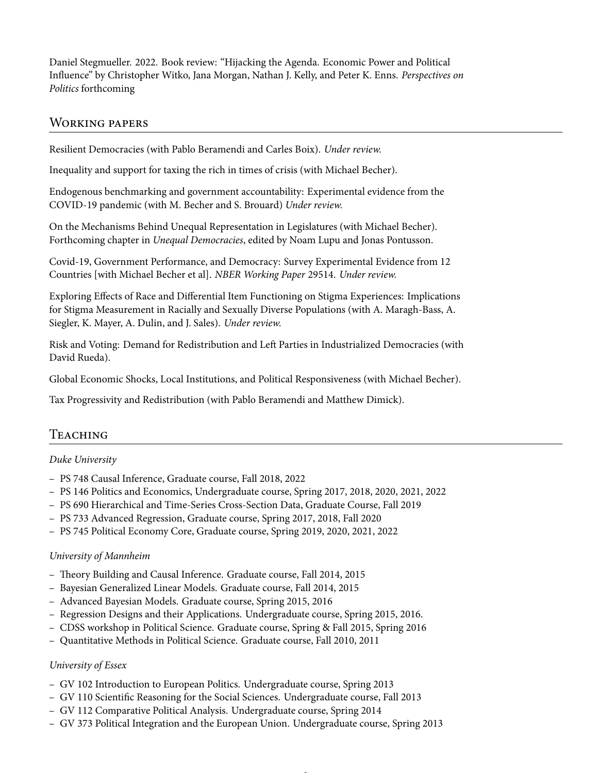Daniel Stegmueller. 2022. Book review: "Hijacking the Agenda. Economic Power and Political Influence" by Christopher Witko, Jana Morgan, Nathan J. Kelly, and Peter K. Enns. *Perspectives on Politics* forthcoming

#### Working papers

Resilient Democracies (with Pablo Beramendi and Carles Boix). *Under review.*

Inequality and support for taxing the rich in times of crisis (with Michael Becher).

Endogenous benchmarking and government accountability: Experimental evidence from the COVID-19 pandemic (with M. Becher and S. Brouard) *Under review.*

On the Mechanisms Behind Unequal Representation in Legislatures (with Michael Becher). Forthcoming chapter in *Unequal Democracies*, edited by Noam Lupu and Jonas Pontusson.

Covid-19, Government Performance, and Democracy: Survey Experimental Evidence from 12 Countries [with Michael Becher et al]. *NBER Working Paper* 29514. *Under review.*

Exploring Effects of Race and Differential Item Functioning on Stigma Experiences: Implications for Stigma Measurement in Racially and Sexually Diverse Populations (with A. Maragh-Bass, A. Siegler, K. Mayer, A. Dulin, and J. Sales). *Under review.*

Risk and Voting: Demand for Redistribution and Left Parties in Industrialized Democracies (with David Rueda).

Global Economic Shocks, Local Institutions, and Political Responsiveness (with Michael Becher).

Tax Progressivity and Redistribution (with Pablo Beramendi and Matthew Dimick).

## Teaching

#### *Duke University*

- PS 748 Causal Inference, Graduate course, Fall 2018, 2022
- PS 146 Politics and Economics, Undergraduate course, Spring 2017, 2018, 2020, 2021, 2022
- PS 690 Hierarchical and Time-Series Cross-Section Data, Graduate Course, Fall 2019
- PS 733 Advanced Regression, Graduate course, Spring 2017, 2018, Fall 2020
- PS 745 Political Economy Core, Graduate course, Spring 2019, 2020, 2021, 2022

#### *University of Mannheim*

- Theory Building and Causal Inference. Graduate course, Fall 2014, 2015
- Bayesian Generalized Linear Models. Graduate course, Fall 2014, 2015
- Advanced Bayesian Models. Graduate course, Spring 2015, 2016
- Regression Designs and their Applications. Undergraduate course, Spring 2015, 2016.
- CDSS workshop in Political Science. Graduate course, Spring & Fall 2015, Spring 2016
- Quantitative Methods in Political Science. Graduate course, Fall 2010, 2011

#### *University of Essex*

- GV 102 Introduction to European Politics. Undergraduate course, Spring 2013
- GV 110 Scientific Reasoning for the Social Sciences. Undergraduate course, Fall 2013
- GV 112 Comparative Political Analysis. Undergraduate course, Spring 2014
- GV 373 Political Integration and the European Union. Undergraduate course, Spring 2013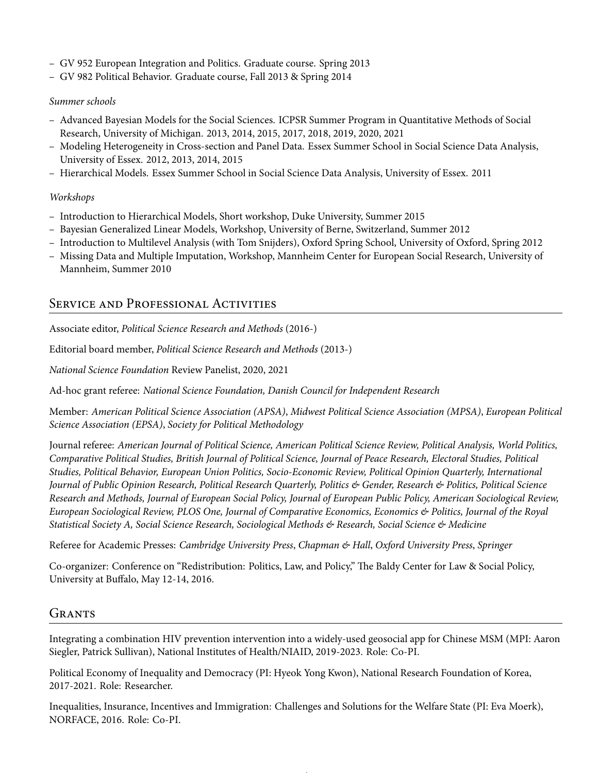- GV 952 European Integration and Politics. Graduate course. Spring 2013
- GV 982 Political Behavior. Graduate course, Fall 2013 & Spring 2014

#### *Summer schools*

- Advanced Bayesian Models for the Social Sciences. ICPSR Summer Program in Quantitative Methods of Social Research, University of Michigan. 2013, 2014, 2015, 2017, 2018, 2019, 2020, 2021
- Modeling Heterogeneity in Cross-section and Panel Data. Essex Summer School in Social Science Data Analysis, University of Essex. 2012, 2013, 2014, 2015
- Hierarchical Models. Essex Summer School in Social Science Data Analysis, University of Essex. 2011

#### *Workshops*

- Introduction to Hierarchical Models, Short workshop, Duke University, Summer 2015
- Bayesian Generalized Linear Models, Workshop, University of Berne, Switzerland, Summer 2012
- Introduction to Multilevel Analysis (with Tom Snijders), Oxford Spring School, University of Oxford, Spring 2012
- Missing Data and Multiple Imputation, Workshop, Mannheim Center for European Social Research, University of Mannheim, Summer 2010

## Service and Professional Activities

Associate editor, *Political Science Research and Methods* (2016-)

Editorial board member, *Political Science Research and Methods* (2013-)

*National Science Foundation* Review Panelist, 2020, 2021

Ad-hoc grant referee: *National Science Foundation, Danish Council for Independent Research*

Member: *American Political Science Association (APSA)*, *Midwest Political Science Association (MPSA)*, *European Political Science Association (EPSA)*, *Society for Political Methodology*

Journal referee: *American Journal of Political Science, American Political Science Review, Political Analysis, World Politics, Comparative Political Studies, British Journal of Political Science, Journal of Peace Research, Electoral Studies, Political Studies, Political Behavior, European Union Politics, Socio-Economic Review, Political Opinion Quarterly, International Journal of Public Opinion Research, Political Research Quarterly, Politics & Gender, Research & Politics, Political Science Research and Methods, Journal of European Social Policy, Journal of European Public Policy, American Sociological Review, European Sociological Review, PLOS One, Journal of Comparative Economics, Economics & Politics, Journal of the Royal Statistical Society A, Social Science Research, Sociological Methods & Research, Social Science & Medicine*

Referee for Academic Presses: *Cambridge University Press*, *Chapman & Hall*, *Oxford University Press*, *Springer*

Co-organizer: Conference on "Redistribution: Politics, Law, and Policy," The Baldy Center for Law & Social Policy, University at Buffalo, May 12-14, 2016.

## GRANTS

Integrating a combination HIV prevention intervention into a widely-used geosocial app for Chinese MSM (MPI: Aaron Siegler, Patrick Sullivan), National Institutes of Health/NIAID, 2019-2023. Role: Co-PI.

Political Economy of Inequality and Democracy (PI: Hyeok Yong Kwon), National Research Foundation of Korea, 2017-2021. Role: Researcher.

Inequalities, Insurance, Incentives and Immigration: Challenges and Solutions for the Welfare State (PI: Eva Moerk), NORFACE, 2016. Role: Co-PI.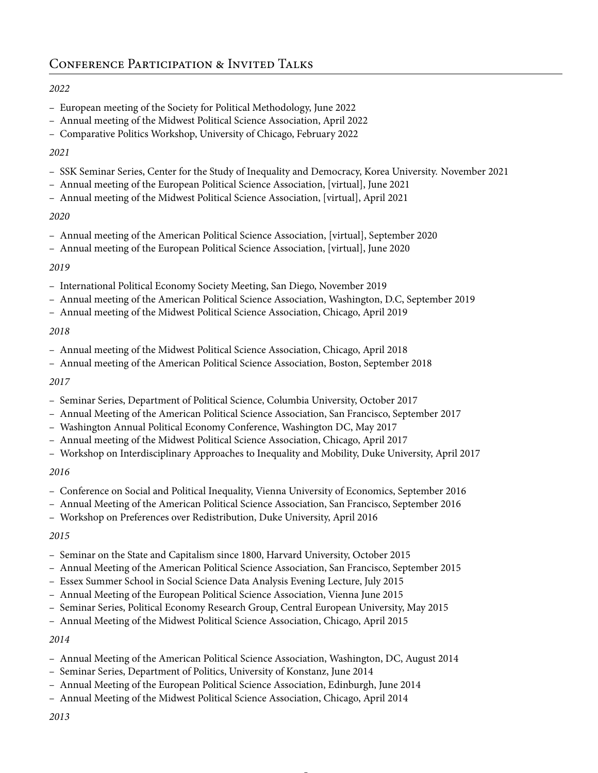#### *2022*

- European meeting of the Society for Political Methodology, June 2022
- Annual meeting of the Midwest Political Science Association, April 2022
- Comparative Politics Workshop, University of Chicago, February 2022

#### *2021*

- SSK Seminar Series, Center for the Study of Inequality and Democracy, Korea University. November 2021
- Annual meeting of the European Political Science Association, [virtual], June 2021
- Annual meeting of the Midwest Political Science Association, [virtual], April 2021

#### *2020*

- Annual meeting of the American Political Science Association, [virtual], September 2020
- Annual meeting of the European Political Science Association, [virtual], June 2020

#### *2019*

- International Political Economy Society Meeting, San Diego, November 2019
- Annual meeting of the American Political Science Association, Washington, D.C, September 2019
- Annual meeting of the Midwest Political Science Association, Chicago, April 2019

#### *2018*

- Annual meeting of the Midwest Political Science Association, Chicago, April 2018
- Annual meeting of the American Political Science Association, Boston, September 2018

#### *2017*

- Seminar Series, Department of Political Science, Columbia University, October 2017
- Annual Meeting of the American Political Science Association, San Francisco, September 2017
- Washington Annual Political Economy Conference, Washington DC, May 2017
- Annual meeting of the Midwest Political Science Association, Chicago, April 2017
- Workshop on Interdisciplinary Approaches to Inequality and Mobility, Duke University, April 2017

## *2016*

- Conference on Social and Political Inequality, Vienna University of Economics, September 2016
- Annual Meeting of the American Political Science Association, San Francisco, September 2016
- Workshop on Preferences over Redistribution, Duke University, April 2016

## *2015*

- Seminar on the State and Capitalism since 1800, Harvard University, October 2015
- Annual Meeting of the American Political Science Association, San Francisco, September 2015
- Essex Summer School in Social Science Data Analysis Evening Lecture, July 2015
- Annual Meeting of the European Political Science Association, Vienna June 2015
- Seminar Series, Political Economy Research Group, Central European University, May 2015
- Annual Meeting of the Midwest Political Science Association, Chicago, April 2015

## *2014*

- Annual Meeting of the American Political Science Association, Washington, DC, August 2014
- Seminar Series, Department of Politics, University of Konstanz, June 2014
- Annual Meeting of the European Political Science Association, Edinburgh, June 2014
- Annual Meeting of the Midwest Political Science Association, Chicago, April 2014
- *2013*